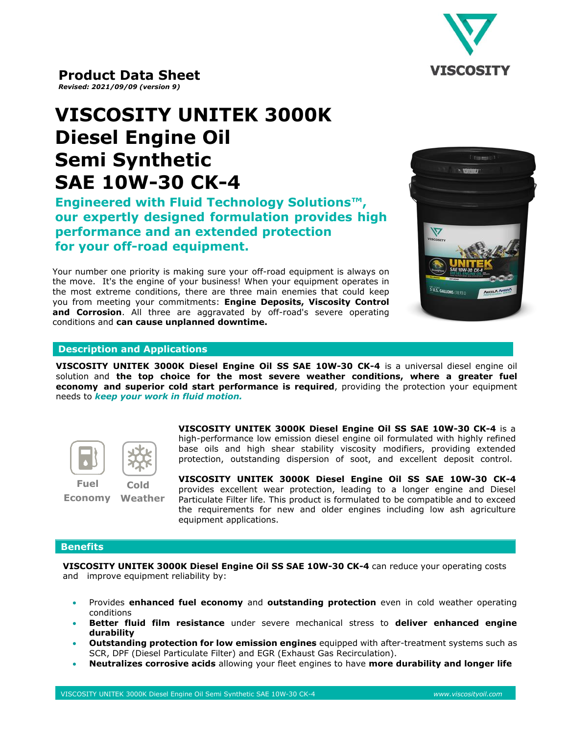

# **VISCOSITY UNITEK 3000K Diesel Engine Oil Semi Synthetic SAE 10W-30 CK-4**

**Engineered with Fluid Technology Solutions™, our expertly designed formulation provides high performance and an extended protection for your off-road equipment.** 

Your number one priority is making sure your off-road equipment is always on the move. It's the engine of your business! When your equipment operates in the most extreme conditions, there are three main enemies that could keep you from meeting your commitments: **Engine Deposits, Viscosity Control and Corrosion**. All three are aggravated by off-road's severe operating conditions and **can cause unplanned downtime.**



## **Description and Applications**

**VISCOSITY UNITEK 3000K Diesel Engine Oil SS SAE 10W-30 CK-4** is a universal diesel engine oil solution and **the top choice for the most severe weather conditions, where a greater fuel economy and superior cold start performance is required**, providing the protection your equipment needs to *keep your work in fluid motion.*



**Economy Weather** 

**VISCOSITY UNITEK 3000K Diesel Engine Oil SS SAE 10W-30 CK-4** is a high-performance low emission diesel engine oil formulated with highly refined base oils and high shear stability viscosity modifiers, providing extended protection, outstanding dispersion of soot, and excellent deposit control.

**VISCOSITY UNITEK 3000K Diesel Engine Oil SS SAE 10W-30 CK-4**  provides excellent wear protection, leading to a longer engine and Diesel Particulate Filter life. This product is formulated to be compatible and to exceed the requirements for new and older engines including low ash agriculture equipment applications.

### **Benefits**

**VISCOSITY UNITEK 3000K Diesel Engine Oil SS SAE 10W-30 CK-4** can reduce your operating costs and improve equipment reliability by:

- Provides **enhanced fuel economy** and **outstanding protection** even in cold weather operating conditions
- **Better fluid film resistance** under severe mechanical stress to **deliver enhanced engine durability**
- **Outstanding protection for low emission engines** equipped with after-treatment systems such as SCR, DPF (Diesel Particulate Filter) and EGR (Exhaust Gas Recirculation).
- **Neutralizes corrosive acids** allowing your fleet engines to have **more durability and longer life**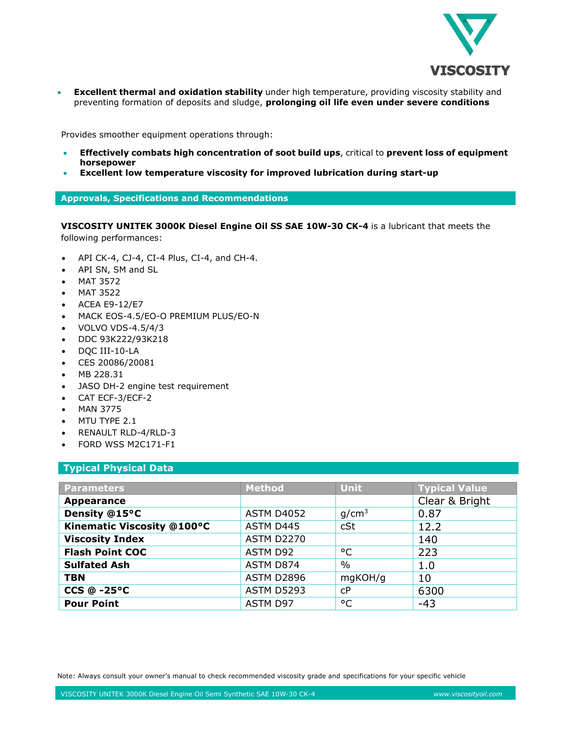

• **Excellent thermal and oxidation stability** under high temperature, providing viscosity stability and preventing formation of deposits and sludge, **prolonging oil life even under severe conditions**

Provides smoother equipment operations through:

- **Effectively combats high concentration of soot build ups**, critical to **prevent loss of equipment horsepower**
- **Excellent low temperature viscosity for improved lubrication during start-up**

**Approvals, Specifications and Recommendations**

**VISCOSITY UNITEK 3000K Diesel Engine Oil SS SAE 10W-30 CK-4** is a lubricant that meets the following performances:

- API CK-4, CJ-4, CI-4 Plus, CI-4, and CH-4.
- API SN, SM and SL
- MAT 3572
- MAT 3522
- ACEA E9-12/E7
- MACK EOS-4.5/EO-O PREMIUM PLUS/EO-N
- VOLVO VDS-4.5/4/3
- DDC 93K222/93K218
- DQC III-10-LA
- CES 20086/20081
- MB 228.31
- JASO DH-2 engine test requirement
- CAT ECF-3/ECF-2
- MAN 3775
- MTU TYPE 2.1
- RENAULT RLD-4/RLD-3
- FORD WSS M2C171-F1

## **Typical Physical Data**

| <b>Parameters</b>          | <b>Method</b>     | <b>Unit</b>       | <b>Typical Value</b> |
|----------------------------|-------------------|-------------------|----------------------|
| <b>Appearance</b>          |                   |                   | Clear & Bright       |
| Density @15°C              | <b>ASTM D4052</b> | g/cm <sup>3</sup> | 0.87                 |
| Kinematic Viscosity @100°C | ASTM D445         | cSt               | 12.2                 |
| <b>Viscosity Index</b>     | <b>ASTM D2270</b> |                   | 140                  |
| <b>Flash Point COC</b>     | ASTM D92          | °C                | 223                  |
| <b>Sulfated Ash</b>        | ASTM D874         | $\%$              | 1.0                  |
| <b>TBN</b>                 | <b>ASTM D2896</b> | mgKOH/g           | 10                   |
| $CCS @ -25°C$              | <b>ASTM D5293</b> | C <sub>P</sub>    | 6300                 |
| <b>Pour Point</b>          | ASTM D97          | °С                | $-43$                |

Note: Always consult your owner's manual to check recommended viscosity grade and specifications for your specific vehicle